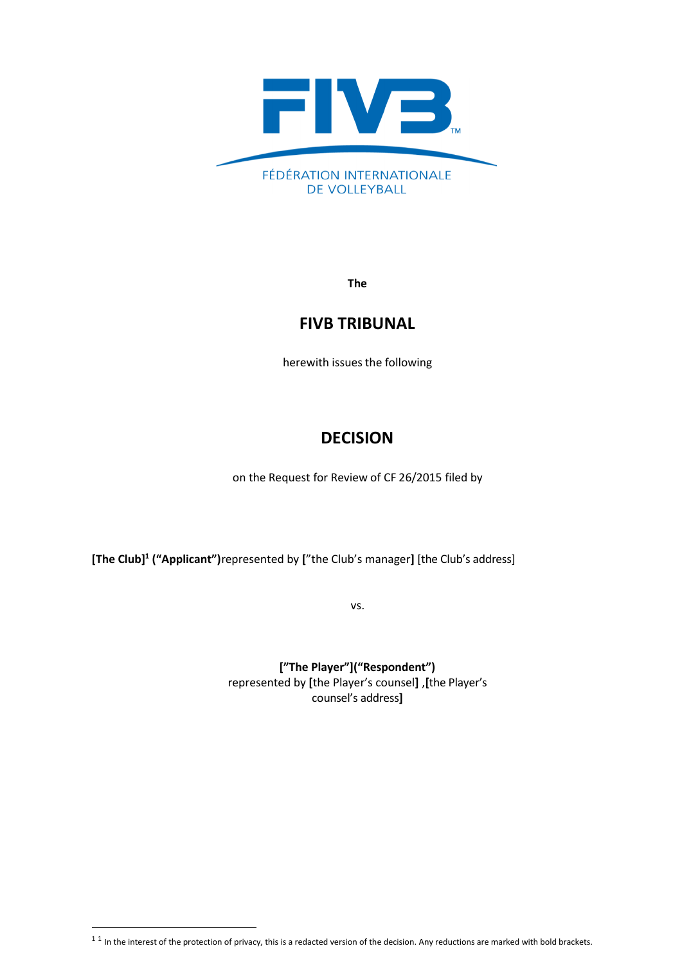

**The**

## **FIVB TRIBUNAL**

herewith issues the following

# **DECISION**

on the Request for Review of CF 26/2015 filed by

**[The Club] 1 ("Applicant")**represented by **[**"the Club's manager**]** [the Club's address]

vs.

**["The Player"]("Respondent")** represented by **[**the Player's counsel**]** ,**[**the Player's counsel's address**]**

 $^{1}$  1 In the interest of the protection of privacy, this is a redacted version of the decision. Any reductions are marked with bold brackets.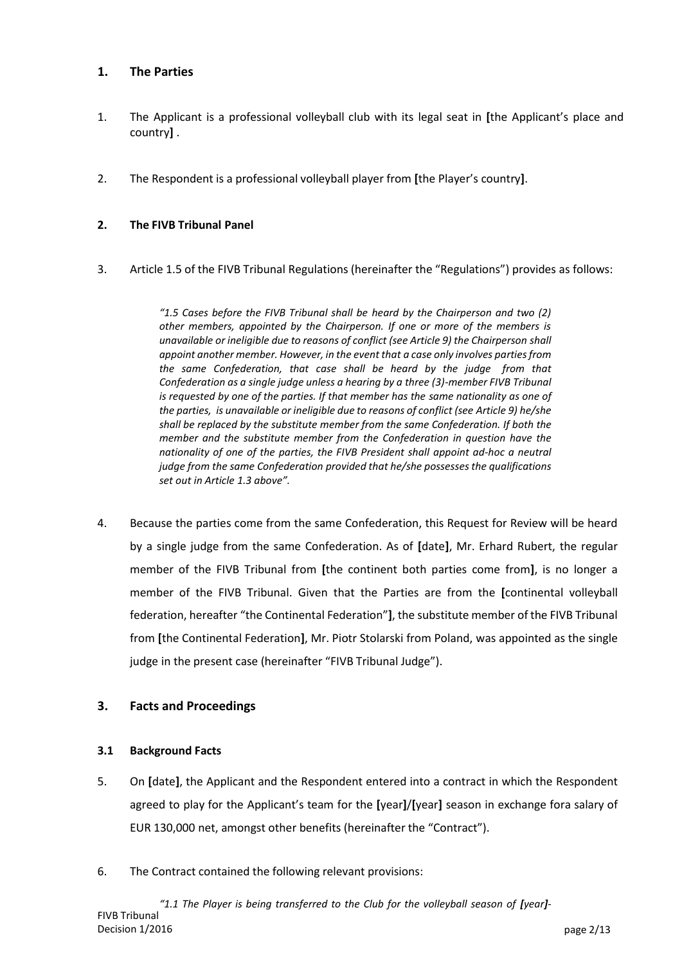## **1. The Parties**

- 1. The Applicant is a professional volleyball club with its legal seat in **[**the Applicant's place and country**]** .
- 2. The Respondent is a professional volleyball player from **[**the Player's country**]**.

## **2. The FIVB Tribunal Panel**

3. Article 1.5 of the FIVB Tribunal Regulations (hereinafter the "Regulations") provides as follows:

*"1.5 Cases before the FIVB Tribunal shall be heard by the Chairperson and two (2) other members, appointed by the Chairperson. If one or more of the members is unavailable or ineligible due to reasons of conflict (see Article 9) the Chairperson shall appoint another member. However, in the event that a case only involves parties from the same Confederation, that case shall be heard by the judge from that Confederation as a single judge unless a hearing by a three (3)-member FIVB Tribunal is requested by one of the parties. If that member has the same nationality as one of the parties, is unavailable or ineligible due to reasons of conflict (see Article 9) he/she shall be replaced by the substitute member from the same Confederation. If both the member and the substitute member from the Confederation in question have the nationality of one of the parties, the FIVB President shall appoint ad-hoc a neutral judge from the same Confederation provided that he/she possessesthe qualifications set out in Article 1.3 above".*

4. Because the parties come from the same Confederation, this Request for Review will be heard by a single judge from the same Confederation. As of **[**date**]**, Mr. Erhard Rubert, the regular member of the FIVB Tribunal from **[**the continent both parties come from**]**, is no longer a member of the FIVB Tribunal. Given that the Parties are from the **[**continental volleyball federation, hereafter "the Continental Federation"**]**, the substitute member of the FIVB Tribunal from **[**the Continental Federation**]**, Mr. Piotr Stolarski from Poland, was appointed as the single judge in the present case (hereinafter "FIVB Tribunal Judge").

## **3. Facts and Proceedings**

## **3.1 Background Facts**

- 5. On **[**date**]**, the Applicant and the Respondent entered into a contract in which the Respondent agreed to play for the Applicant's team for the **[**year**]**/**[**year**]** season in exchange fora salary of EUR 130,000 net, amongst other benefits (hereinafter the "Contract").
- 6. The Contract contained the following relevant provisions: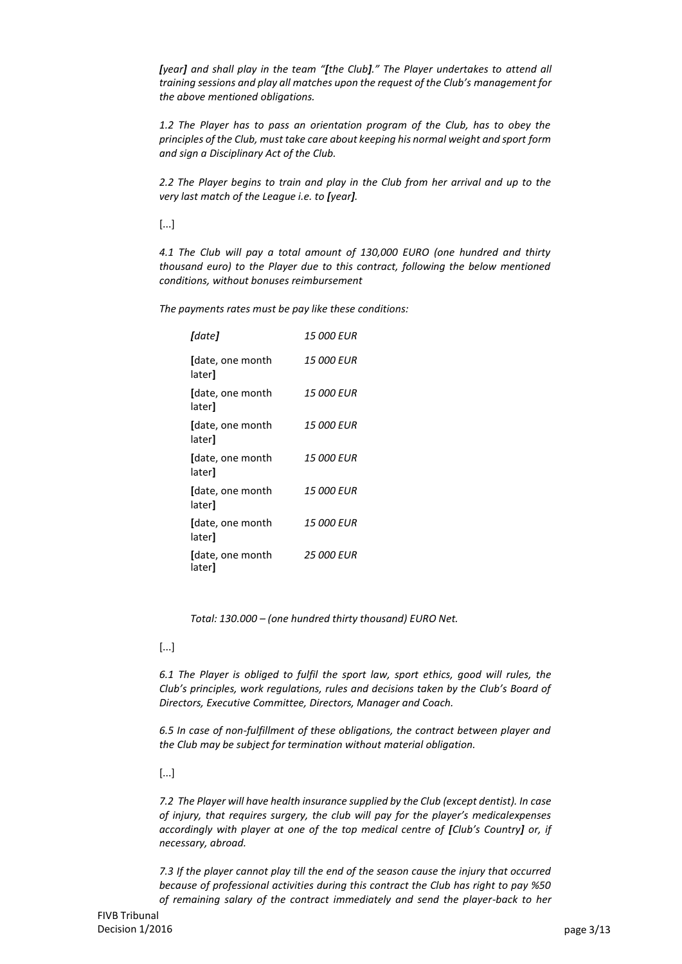*[year] and shall play in the team "[the Club]." The Player undertakes to attend all training sessions and play all matches upon the request of the Club's management for the above mentioned obligations.*

*1.2 The Player has to pass an orientation program of the Club, has to obey the principles of the Club, must take care about keeping his normal weight and sport form and sign a Disciplinary Act of the Club.*

*2.2 The Player begins to train and play in the Club from her arrival and up to the very last match of the League i.e. to [year].*

[...]

*4.1 The Club will pay a total amount of 130,000 EURO (one hundred and thirty thousand euro) to the Player due to this contract, following the below mentioned conditions, without bonuses reimbursement*

*The payments rates must be pay like these conditions:*

| [date]                     | <i>15 000 EUR</i> |
|----------------------------|-------------------|
| [date, one month<br>later] | <b>15 000 EUR</b> |
| [date, one month<br>later] | <i>15 000 EUR</i> |
| [date, one month<br>later] | <i>15 000 EUR</i> |
| (date, one month<br>later] | 15 000 EUR        |
| (date, one month<br>later] | <i>15 000 EUR</i> |
| [date, one month<br>later] | <i>15 000 EUR</i> |
| [date, one month<br>later] | <b>25 000 EUR</b> |

*Total: 130.000 – (one hundred thirty thousand) EURO Net.*

[...]

*6.1 The Player is obliged to fulfil the sport law, sport ethics, good will rules, the Club's principles, work regulations, rules and decisions taken by the Club's Board of Directors, Executive Committee, Directors, Manager and Coach.*

*6.5 In case of non-fulfillment of these obligations, the contract between player and the Club may be subject for termination without material obligation.*

[...]

*7.2 The Player will have health insurance supplied by the Club (except dentist). In case of injury, that requires surgery, the club will pay for the player's medicalexpenses accordingly with player at one of the top medical centre of [Club's Country] or, if necessary, abroad.*

*7.3 If the player cannot play till the end of the season cause the injury that occurred because of professional activities during this contract the Club has right to pay %50 of remaining salary of the contract immediately and send the player-back to her*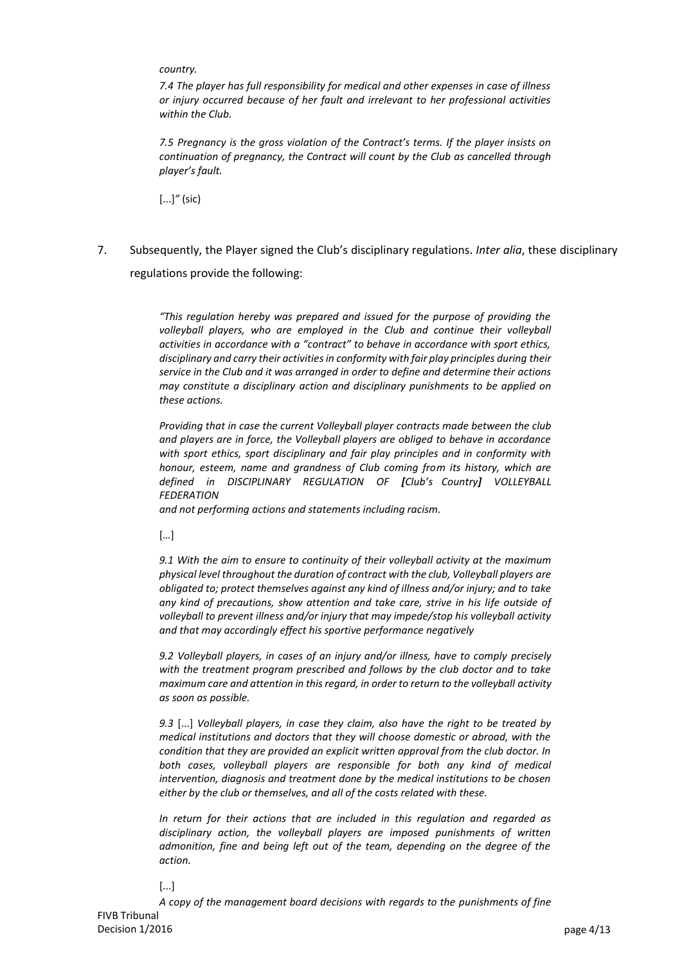*country.*

*7.4 The player has full responsibility for medical and other expenses in case of illness or injury occurred because of her fault and irrelevant to her professional activities within the Club.*

*7.5 Pregnancy is the gross violation of the Contract's terms. If the player insists on continuation of pregnancy, the Contract will count by the Club as cancelled through player's fault.*

[...]*"* (sic)

7. Subsequently, the Player signed the Club's disciplinary regulations. *Inter alia*, these disciplinary regulations provide the following:

> *"This regulation hereby was prepared and issued for the purpose of providing the volleyball players, who are employed in the Club and continue their volleyball activities in accordance with a "contract" to behave in accordance with sport ethics, disciplinary and carry their activities in conformity with fair play principles during their service in the Club and it was arranged in order to define and determine their actions may constitute a disciplinary action and disciplinary punishments to be applied on these actions.*

> *Providing that in case the current Volleyball player contracts made between the club and players are in force, the Volleyball players are obliged to behave in accordance with sport ethics, sport disciplinary and fair play principles and in conformity with honour, esteem, name and grandness of Club coming from its history, which are defined in DISCIPLINARY REGULATION OF [Club's Country] VOLLEYBALL FEDERATION*

*and not performing actions and statements including racism.*

[…]

*9.1 With the aim to ensure to continuity of their volleyball activity at the maximum physical level throughout the duration of contract with the club, Volleyball players are obligated to; protect themselves against any kind of illness and/or injury; and to take any kind of precautions, show attention and take care, strive in his life outside of volleyball to prevent illness and/or injury that may impede/stop his volleyball activity and that may accordingly effect his sportive performance negatively*

*9.2 Volleyball players, in cases of an injury and/or illness, have to comply precisely with the treatment program prescribed and follows by the club doctor and to take maximum care and attention in this regard, in order to return to the volleyball activity as soon as possible.*

*9.3* [...] *Volleyball players, in case they claim, also have the right to be treated by medical institutions and doctors that they will choose domestic or abroad, with the condition that they are provided an explicit written approval from the club doctor. In both cases, volleyball players are responsible for both any kind of medical intervention, diagnosis and treatment done by the medical institutions to be chosen either by the club or themselves, and all of the costs related with these.*

*In return for their actions that are included in this regulation and regarded as disciplinary action, the volleyball players are imposed punishments of written admonition, fine and being left out of the team, depending on the degree of the action.*

[...]

FIVB Tribunal Decision 1/2016 **page 4/13** *A copy of the management board decisions with regards to the punishments of fine*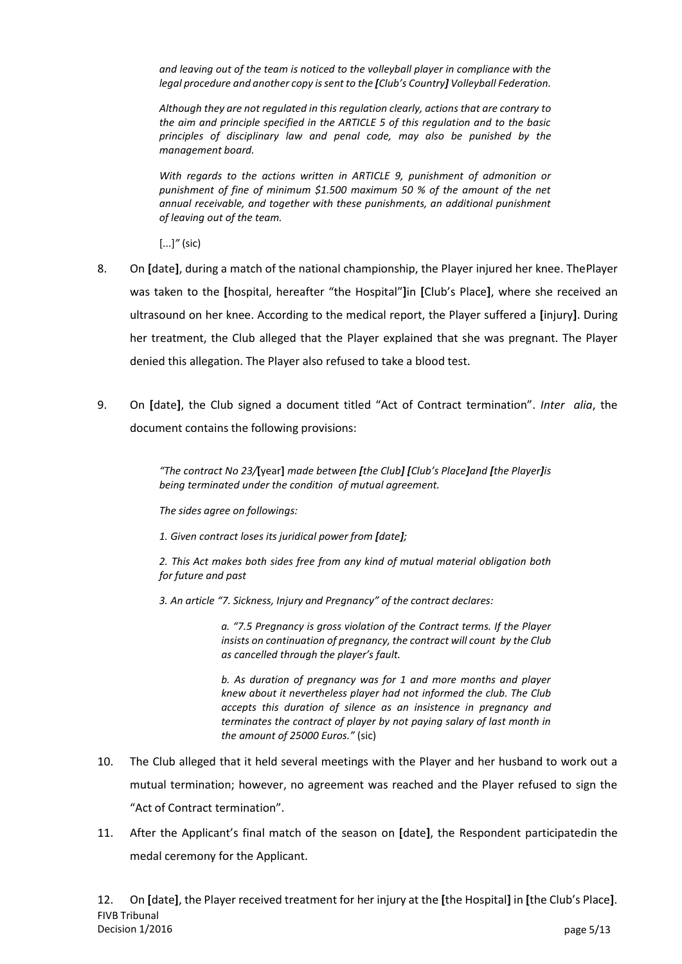*and leaving out of the team is noticed to the volleyball player in compliance with the legal procedure and another copy issent to the [Club's Country] Volleyball Federation.*

*Although they are not regulated in this regulation clearly, actions that are contrary to the aim and principle specified in the ARTICLE 5 of this regulation and to the basic principles of disciplinary law and penal code, may also be punished by the management board.*

*With regards to the actions written in ARTICLE 9, punishment of admonition or punishment of fine of minimum \$1.500 maximum 50 % of the amount of the net annual receivable, and together with these punishments, an additional punishment of leaving out of the team.*

[...]*"* (sic)

- 8. On **[**date**]**, during a match of the national championship, the Player injured her knee. ThePlayer was taken to the **[**hospital, hereafter "the Hospital"**]**in **[**Club's Place**]**, where she received an ultrasound on her knee. According to the medical report, the Player suffered a **[**injury**]**. During her treatment, the Club alleged that the Player explained that she was pregnant. The Player denied this allegation. The Player also refused to take a blood test.
- 9. On **[**date**]**, the Club signed a document titled "Act of Contract termination". *Inter alia*, the document contains the following provisions:

*"The contract No 23/***[**year**]** *made between [the Club] [Club's Place]and [the Player]is being terminated under the condition of mutual agreement.*

*The sides agree on followings:*

*1. Given contract loses its juridical power from [date];*

*2. This Act makes both sides free from any kind of mutual material obligation both for future and past*

*3. An article "7. Sickness, Injury and Pregnancy" of the contract declares:*

*a. "7.5 Pregnancy is gross violation of the Contract terms. If the Player insists on continuation of pregnancy, the contract will count by the Club as cancelled through the player's fault.*

*b. As duration of pregnancy was for 1 and more months and player knew about it nevertheless player had not informed the club. The Club accepts this duration of silence as an insistence in pregnancy and terminates the contract of player by not paying salary of last month in the amount of 25000 Euros."* (sic)

- 10. The Club alleged that it held several meetings with the Player and her husband to work out a mutual termination; however, no agreement was reached and the Player refused to sign the "Act of Contract termination".
- 11. After the Applicant's final match of the season on **[**date**]**, the Respondent participatedin the medal ceremony for the Applicant.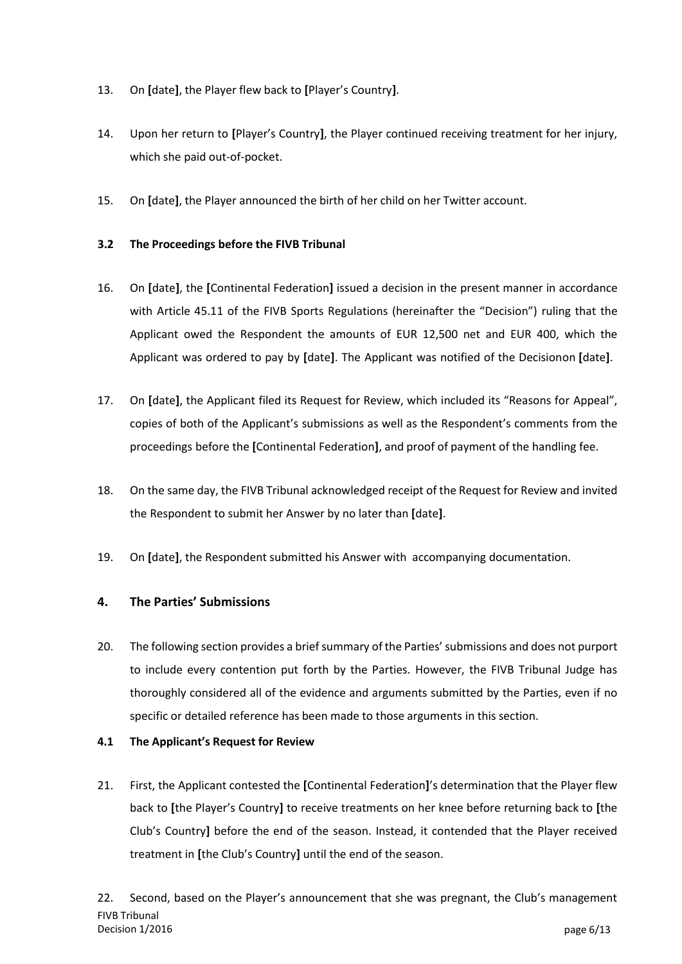- 13. On **[**date**]**, the Player flew back to **[**Player's Country**]**.
- 14. Upon her return to **[**Player's Country**]**, the Player continued receiving treatment for her injury, which she paid out-of-pocket.
- 15. On **[**date**]**, the Player announced the birth of her child on her Twitter account.

## **3.2 The Proceedings before the FIVB Tribunal**

- 16. On **[**date**]**, the **[**Continental Federation**]** issued a decision in the present manner in accordance with Article 45.11 of the FIVB Sports Regulations (hereinafter the "Decision") ruling that the Applicant owed the Respondent the amounts of EUR 12,500 net and EUR 400, which the Applicant was ordered to pay by **[**date**]**. The Applicant was notified of the Decisionon **[**date**]**.
- 17. On **[**date**]**, the Applicant filed its Request for Review, which included its "Reasons for Appeal", copies of both of the Applicant's submissions as well as the Respondent's comments from the proceedings before the **[**Continental Federation**]**, and proof of payment of the handling fee.
- 18. On the same day, the FIVB Tribunal acknowledged receipt of the Request for Review and invited the Respondent to submit her Answer by no later than **[**date**]**.
- 19. On **[**date**]**, the Respondent submitted his Answer with accompanying documentation.

## **4. The Parties' Submissions**

20. The following section provides a brief summary of the Parties'submissions and does not purport to include every contention put forth by the Parties. However, the FIVB Tribunal Judge has thoroughly considered all of the evidence and arguments submitted by the Parties, even if no specific or detailed reference has been made to those arguments in this section.

#### **4.1 The Applicant's Request for Review**

21. First, the Applicant contested the **[**Continental Federation**]**'s determination that the Player flew back to **[**the Player's Country**]** to receive treatments on her knee before returning back to **[**the Club's Country**]** before the end of the season. Instead, it contended that the Player received treatment in **[**the Club's Country**]** until the end of the season.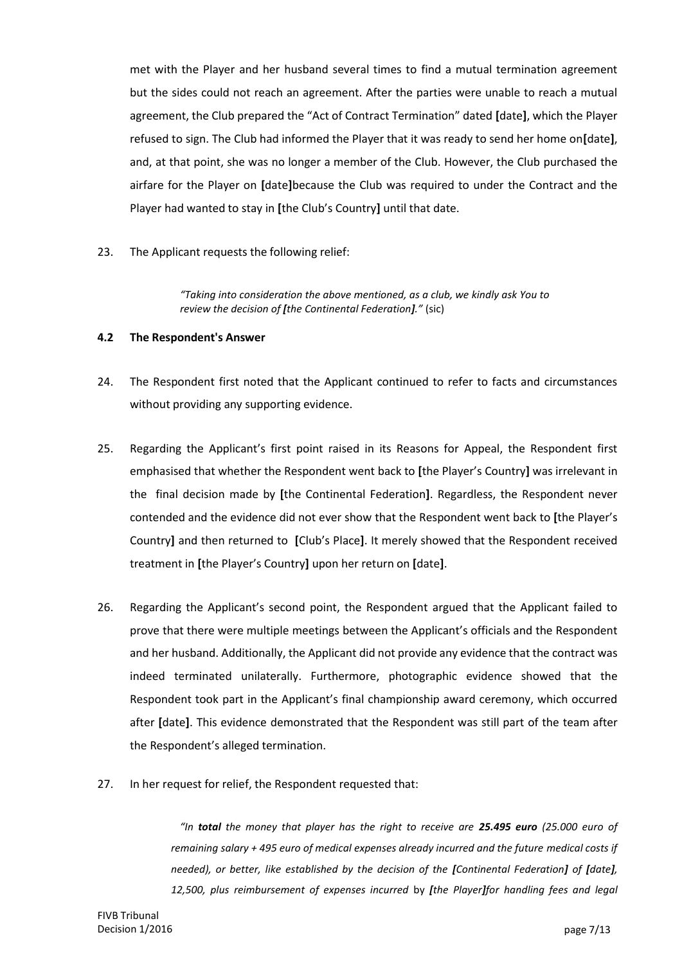met with the Player and her husband several times to find a mutual termination agreement but the sides could not reach an agreement. After the parties were unable to reach a mutual agreement, the Club prepared the "Act of Contract Termination" dated **[**date**]**, which the Player refused to sign. The Club had informed the Player that it was ready to send her home on**[**date**]**, and, at that point, she was no longer a member of the Club. However, the Club purchased the airfare for the Player on **[**date**]**because the Club was required to under the Contract and the Player had wanted to stay in **[**the Club's Country**]** until that date.

23. The Applicant requests the following relief:

*"Taking into consideration the above mentioned, as a club, we kindly ask You to review the decision of [the Continental Federation]."* (sic)

#### **4.2 The Respondent's Answer**

- 24. The Respondent first noted that the Applicant continued to refer to facts and circumstances without providing any supporting evidence.
- 25. Regarding the Applicant's first point raised in its Reasons for Appeal, the Respondent first emphasised that whether the Respondent went back to **[**the Player's Country**]** was irrelevant in the final decision made by **[**the Continental Federation**]**. Regardless, the Respondent never contended and the evidence did not ever show that the Respondent went back to **[**the Player's Country**]** and then returned to **[**Club's Place**]**. It merely showed that the Respondent received treatment in **[**the Player's Country**]** upon her return on **[**date**]**.
- 26. Regarding the Applicant's second point, the Respondent argued that the Applicant failed to prove that there were multiple meetings between the Applicant's officials and the Respondent and her husband. Additionally, the Applicant did not provide any evidence that the contract was indeed terminated unilaterally. Furthermore, photographic evidence showed that the Respondent took part in the Applicant's final championship award ceremony, which occurred after **[**date**]**. This evidence demonstrated that the Respondent was still part of the team after the Respondent's alleged termination.
- 27. In her request for relief, the Respondent requested that:

*"In total the money that player has the right to receive are 25.495 euro (25.000 euro of remaining salary + 495 euro of medical expenses already incurred and the future medical costs if needed), or better, like established by the decision of the [Continental Federation] of [date], 12,500, plus reimbursement of expenses incurred* by *[the Player]for handling fees and legal*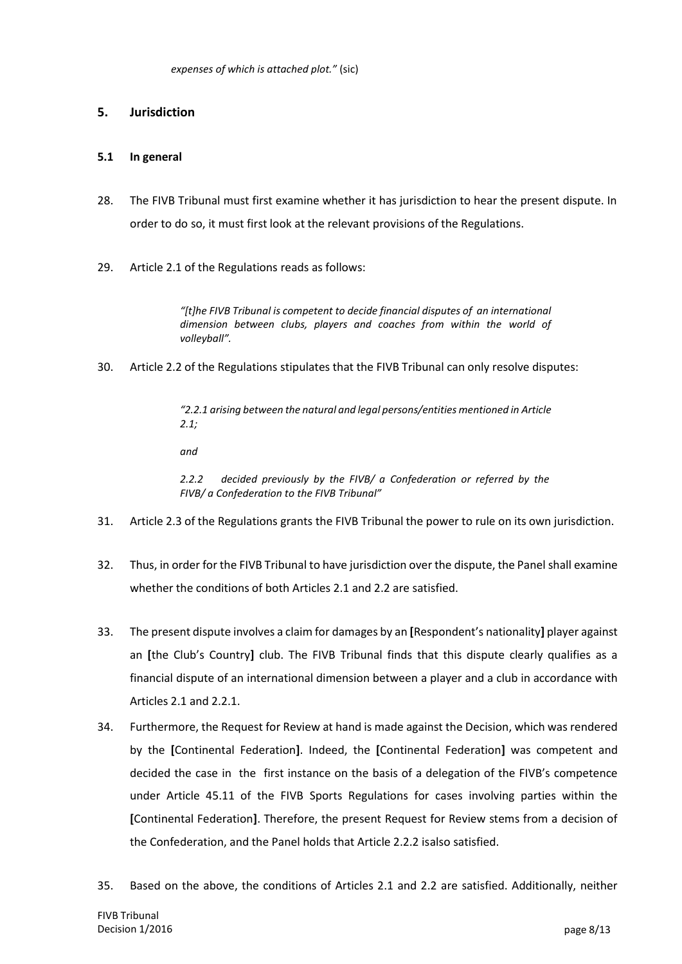## **5. Jurisdiction**

#### **5.1 In general**

- 28. The FIVB Tribunal must first examine whether it has jurisdiction to hear the present dispute. In order to do so, it must first look at the relevant provisions of the Regulations.
- 29. Article 2.1 of the Regulations reads as follows:

*"[t]he FIVB Tribunal is competent to decide financial disputes of an international dimension between clubs, players and coaches from within the world of volleyball".*

30. Article 2.2 of the Regulations stipulates that the FIVB Tribunal can only resolve disputes:

*"2.2.1 arising between the natural and legal persons/entities mentioned in Article 2.1;*

*and*

*2.2.2 decided previously by the FIVB/ a Confederation or referred by the FIVB/ a Confederation to the FIVB Tribunal"*

- 31. Article 2.3 of the Regulations grants the FIVB Tribunal the power to rule on its own jurisdiction.
- 32. Thus, in order for the FIVB Tribunal to have jurisdiction over the dispute, the Panel shall examine whether the conditions of both Articles 2.1 and 2.2 are satisfied.
- 33. The present dispute involves a claim for damages by an **[**Respondent's nationality**]** player against an **[**the Club's Country**]** club. The FIVB Tribunal finds that this dispute clearly qualifies as a financial dispute of an international dimension between a player and a club in accordance with Articles 2.1 and 2.2.1.
- 34. Furthermore, the Request for Review at hand is made against the Decision, which was rendered by the **[**Continental Federation**]**. Indeed, the **[**Continental Federation**]** was competent and decided the case in the first instance on the basis of a delegation of the FIVB's competence under Article 45.11 of the FIVB Sports Regulations for cases involving parties within the **[**Continental Federation**]**. Therefore, the present Request for Review stems from a decision of the Confederation, and the Panel holds that Article 2.2.2 isalso satisfied.
- 35. Based on the above, the conditions of Articles 2.1 and 2.2 are satisfied. Additionally, neither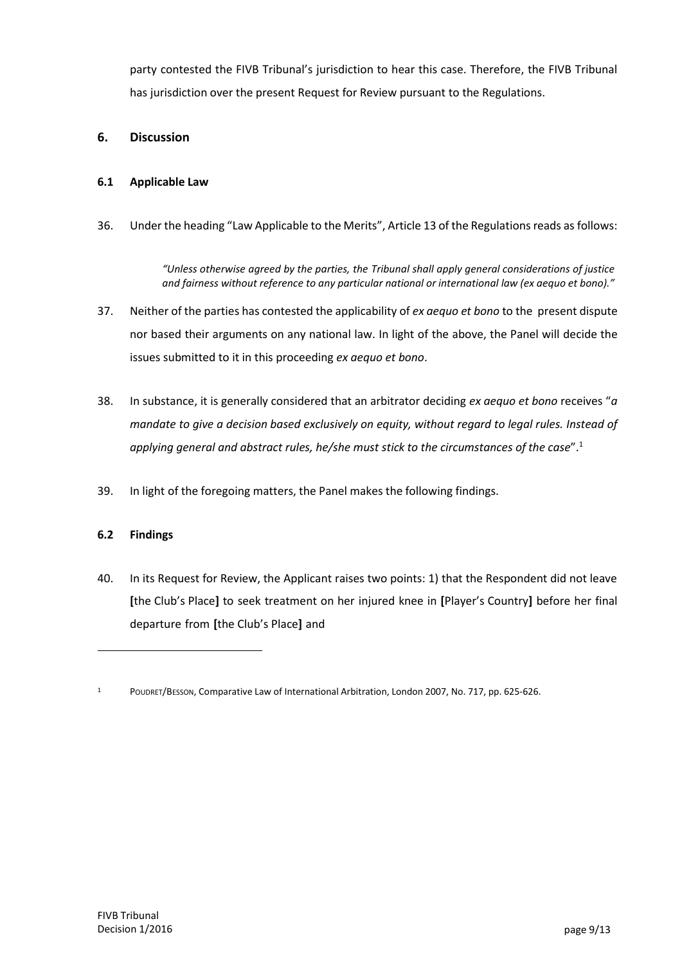party contested the FIVB Tribunal's jurisdiction to hear this case. Therefore, the FIVB Tribunal has jurisdiction over the present Request for Review pursuant to the Regulations.

## **6. Discussion**

### **6.1 Applicable Law**

36. Under the heading "Law Applicable to the Merits", Article 13 of the Regulations reads as follows:

*"Unless otherwise agreed by the parties, the Tribunal shall apply general considerations of justice and fairness without reference to any particular national or international law (ex aequo et bono)."*

- 37. Neither of the parties has contested the applicability of *ex aequo et bono* to the present dispute nor based their arguments on any national law. In light of the above, the Panel will decide the issues submitted to it in this proceeding *ex aequo et bono*.
- 38. In substance, it is generally considered that an arbitrator deciding *ex aequo et bono* receives "*a mandate to give a decision based exclusively on equity, without regard to legal rules. Instead of applying general and abstract rules, he/she must stick to the circumstances of the case*".<sup>1</sup>
- 39. In light of the foregoing matters, the Panel makes the following findings.

#### **6.2 Findings**

40. In its Request for Review, the Applicant raises two points: 1) that the Respondent did not leave **[**the Club's Place**]** to seek treatment on her injured knee in **[**Player's Country**]** before her final departure from **[**the Club's Place**]** and

<sup>1</sup> POUDRET/BESSON, Comparative Law of International Arbitration, London 2007, No. 717, pp. 625-626.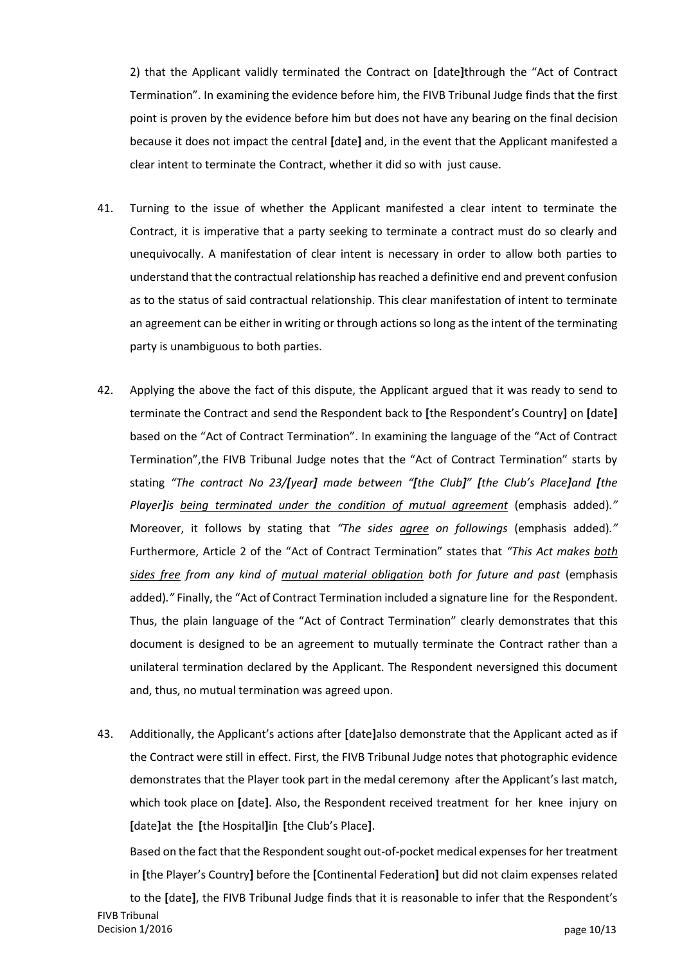2) that the Applicant validly terminated the Contract on **[**date**]**through the "Act of Contract Termination". In examining the evidence before him, the FIVB Tribunal Judge finds that the first point is proven by the evidence before him but does not have any bearing on the final decision because it does not impact the central **[**date**]** and, in the event that the Applicant manifested a clear intent to terminate the Contract, whether it did so with just cause.

- 41. Turning to the issue of whether the Applicant manifested a clear intent to terminate the Contract, it is imperative that a party seeking to terminate a contract must do so clearly and unequivocally. A manifestation of clear intent is necessary in order to allow both parties to understand that the contractual relationship hasreached a definitive end and prevent confusion as to the status of said contractual relationship. This clear manifestation of intent to terminate an agreement can be either in writing or through actions so long as the intent of the terminating party is unambiguous to both parties.
- 42. Applying the above the fact of this dispute, the Applicant argued that it was ready to send to terminate the Contract and send the Respondent back to **[**the Respondent's Country**]** on **[**date**]** based on the "Act of Contract Termination". In examining the language of the "Act of Contract Termination",the FIVB Tribunal Judge notes that the "Act of Contract Termination" starts by stating *"The contract No 23/[year] made between "[the Club]" [the Club's Place]and [the Player]is being terminated under the condition of mutual agreement* (emphasis added)*."* Moreover, it follows by stating that *"The sides agree on followings* (emphasis added)*."* Furthermore, Article 2 of the "Act of Contract Termination" states that *"This Act makes both sides free from any kind of mutual material obligation both for future and past* (emphasis added)*."* Finally, the "Act of Contract Termination included a signature line for the Respondent. Thus, the plain language of the "Act of Contract Termination" clearly demonstrates that this document is designed to be an agreement to mutually terminate the Contract rather than a unilateral termination declared by the Applicant. The Respondent neversigned this document and, thus, no mutual termination was agreed upon.
- 43. Additionally, the Applicant's actions after **[**date**]**also demonstrate that the Applicant acted as if the Contract were still in effect. First, the FIVB Tribunal Judge notes that photographic evidence demonstrates that the Player took part in the medal ceremony after the Applicant's last match, which took place on **[**date**]**. Also, the Respondent received treatment for her knee injury on **[**date**]**at the **[**the Hospital**]**in **[**the Club's Place**]**.

Based on the fact that the Respondent sought out-of-pocket medical expenses for her treatment in **[**the Player's Country**]** before the **[**Continental Federation**]** but did not claim expenses related

FIVB Tribunal Decision 1/2016 **page 10/13** to the **[**date**]**, the FIVB Tribunal Judge finds that it is reasonable to infer that the Respondent's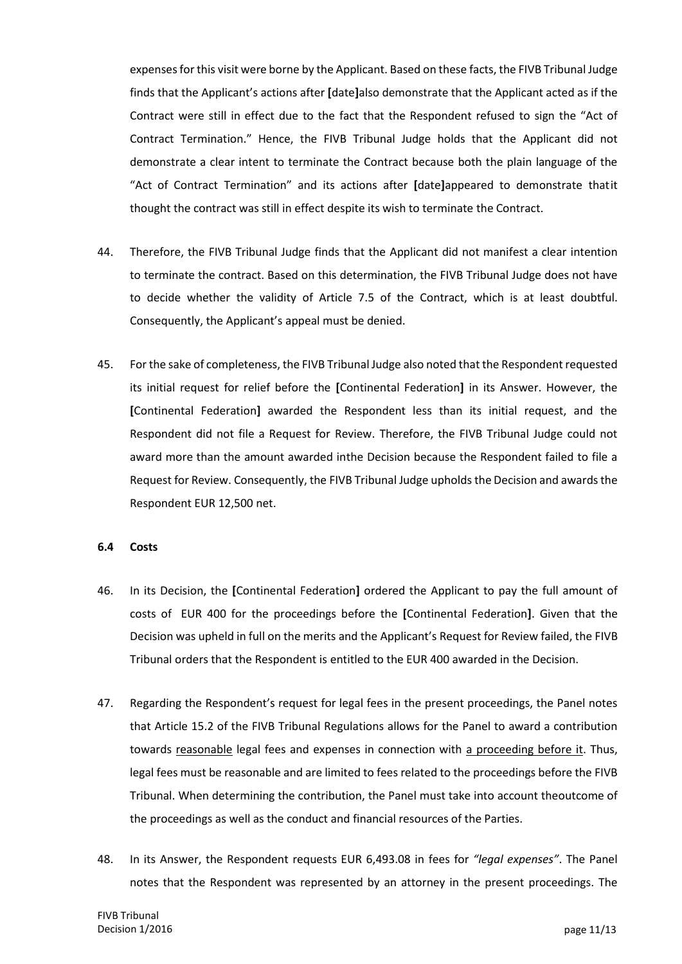expenses for this visit were borne by the Applicant. Based on these facts, the FIVB Tribunal Judge finds that the Applicant's actions after **[**date**]**also demonstrate that the Applicant acted as if the Contract were still in effect due to the fact that the Respondent refused to sign the "Act of Contract Termination." Hence, the FIVB Tribunal Judge holds that the Applicant did not demonstrate a clear intent to terminate the Contract because both the plain language of the "Act of Contract Termination" and its actions after **[**date**]**appeared to demonstrate thatit thought the contract was still in effect despite its wish to terminate the Contract.

- 44. Therefore, the FIVB Tribunal Judge finds that the Applicant did not manifest a clear intention to terminate the contract. Based on this determination, the FIVB Tribunal Judge does not have to decide whether the validity of Article 7.5 of the Contract, which is at least doubtful. Consequently, the Applicant's appeal must be denied.
- 45. For the sake of completeness, the FIVB Tribunal Judge also noted that the Respondent requested its initial request for relief before the **[**Continental Federation**]** in its Answer. However, the **[**Continental Federation**]** awarded the Respondent less than its initial request, and the Respondent did not file a Request for Review. Therefore, the FIVB Tribunal Judge could not award more than the amount awarded inthe Decision because the Respondent failed to file a Request for Review. Consequently, the FIVB Tribunal Judge upholds the Decision and awardsthe Respondent EUR 12,500 net.

#### **6.4 Costs**

- 46. In its Decision, the **[**Continental Federation**]** ordered the Applicant to pay the full amount of costs of EUR 400 for the proceedings before the **[**Continental Federation**]**. Given that the Decision was upheld in full on the merits and the Applicant's Request for Review failed, the FIVB Tribunal orders that the Respondent is entitled to the EUR 400 awarded in the Decision.
- 47. Regarding the Respondent's request for legal fees in the present proceedings, the Panel notes that Article 15.2 of the FIVB Tribunal Regulations allows for the Panel to award a contribution towards reasonable legal fees and expenses in connection with a proceeding before it. Thus, legal fees must be reasonable and are limited to fees related to the proceedings before the FIVB Tribunal. When determining the contribution, the Panel must take into account theoutcome of the proceedings as well as the conduct and financial resources of the Parties.
- 48. In its Answer, the Respondent requests EUR 6,493.08 in fees for *"legal expenses"*. The Panel notes that the Respondent was represented by an attorney in the present proceedings. The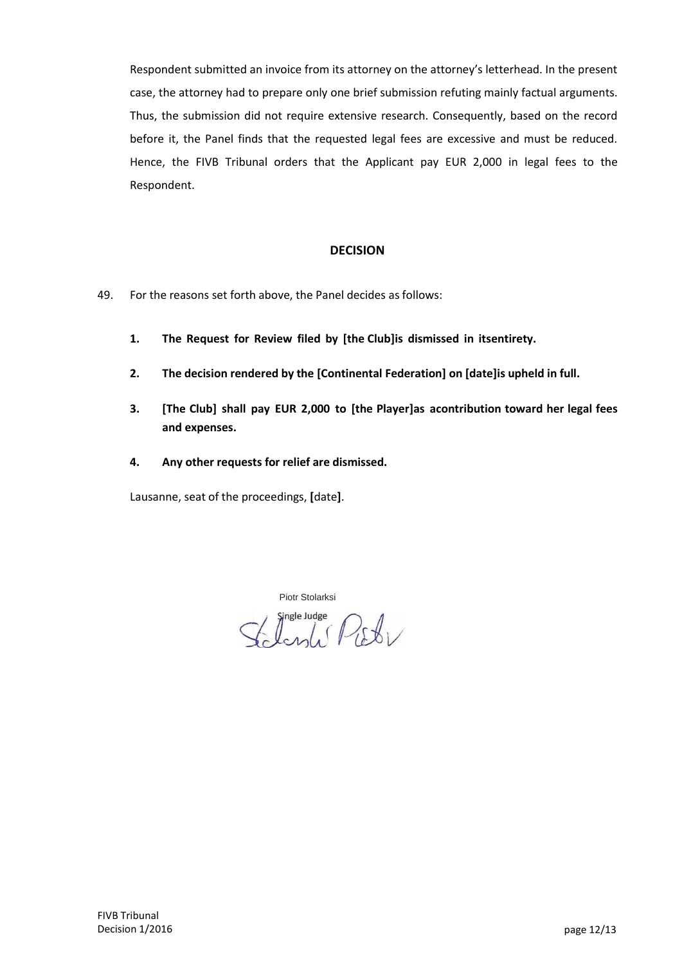Respondent submitted an invoice from its attorney on the attorney's letterhead. In the present case, the attorney had to prepare only one brief submission refuting mainly factual arguments. Thus, the submission did not require extensive research. Consequently, based on the record before it, the Panel finds that the requested legal fees are excessive and must be reduced. Hence, the FIVB Tribunal orders that the Applicant pay EUR 2,000 in legal fees to the Respondent.

#### **DECISION**

- 49. For the reasons set forth above, the Panel decides as follows:
	- **1. The Request for Review filed by [the Club]is dismissed in itsentirety.**
	- **2. The decision rendered by the [Continental Federation] on [date]is upheld in full.**
	- **3. [The Club] shall pay EUR 2,000 to [the Player]as acontribution toward her legal fees and expenses.**
	- **4. Any other requests for relief are dismissed.**

Lausanne, seat of the proceedings, **[**date**]**.

Piotr Stolarksi

Inde sudge<br>Longle Picty